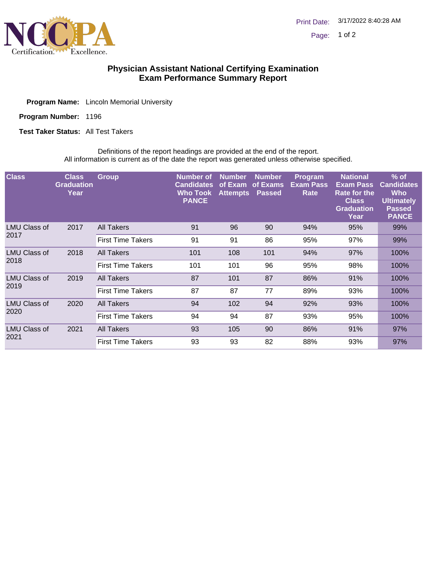

## **Physician Assistant National Certifying Examination Exam Performance Summary Report**

Program Number: 1196

**Test Taker Status: All Test Takers** 

Definitions of the report headings are provided at the end of the report. All information is current as of the date the report was generated unless otherwise specified.

| <b>Class</b>         | <b>Class</b><br><b>Graduation</b><br>Year | <b>Group</b>             | <b>Number</b> of<br><b>Candidates</b><br><b>Who Took</b><br><b>PANCE</b> | <b>Number</b><br>of Exam<br><b>Attempts</b> | Number,<br>of Exams<br><b>Passed</b> | <b>Program</b><br><b>Exam Pass</b><br>Rate | <b>National</b><br><b>Exam Pass</b><br><b>Rate for the</b><br><b>Class</b><br><b>Graduation</b><br>Year | $%$ of<br><b>Candidates</b><br><b>Who</b><br><b>Ultimately</b><br><b>Passed</b><br><b>PANCE</b> |
|----------------------|-------------------------------------------|--------------------------|--------------------------------------------------------------------------|---------------------------------------------|--------------------------------------|--------------------------------------------|---------------------------------------------------------------------------------------------------------|-------------------------------------------------------------------------------------------------|
| LMU Class of<br>2017 | 2017                                      | All Takers               | 91                                                                       | 96                                          | 90                                   | 94%                                        | 95%                                                                                                     | 99%                                                                                             |
|                      |                                           | <b>First Time Takers</b> | 91                                                                       | 91                                          | 86                                   | 95%                                        | 97%                                                                                                     | 99%                                                                                             |
| LMU Class of<br>2018 | 2018                                      | <b>All Takers</b>        | 101                                                                      | 108                                         | 101                                  | 94%                                        | 97%                                                                                                     | 100%                                                                                            |
|                      |                                           | <b>First Time Takers</b> | 101                                                                      | 101                                         | 96                                   | 95%                                        | 98%                                                                                                     | 100%                                                                                            |
| LMU Class of<br>2019 | 2019                                      | <b>All Takers</b>        | 87                                                                       | 101                                         | 87                                   | 86%                                        | 91%                                                                                                     | 100%                                                                                            |
|                      |                                           | <b>First Time Takers</b> | 87                                                                       | 87                                          | 77                                   | 89%                                        | 93%                                                                                                     | 100%                                                                                            |
| LMU Class of<br>2020 | 2020                                      | All Takers               | 94                                                                       | 102                                         | 94                                   | 92%                                        | 93%                                                                                                     | 100%                                                                                            |
|                      |                                           | <b>First Time Takers</b> | 94                                                                       | 94                                          | 87                                   | 93%                                        | 95%                                                                                                     | 100%                                                                                            |
| LMU Class of<br>2021 | 2021                                      | All Takers               | 93                                                                       | 105                                         | 90                                   | 86%                                        | 91%                                                                                                     | 97%                                                                                             |
|                      |                                           | <b>First Time Takers</b> | 93                                                                       | 93                                          | 82                                   | 88%                                        | 93%                                                                                                     | 97%                                                                                             |